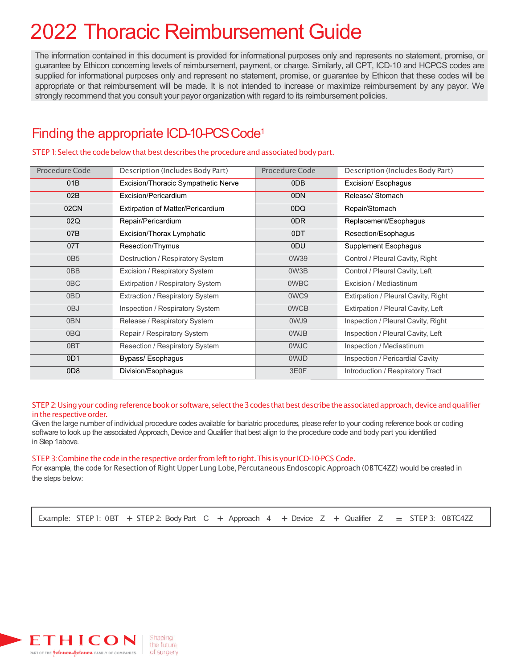# 2022 Thoracic Reimbursement Guide

The information contained in this document is provided for informational purposes only and represents no statement, promise, or guarantee by Ethicon concerning levels of reimbursement, payment, or charge. Similarly, all CPT, ICD-10 and HCPCS codes are supplied for informational purposes only and represent no statement, promise, or guarantee by Ethicon that these codes will be appropriate or that reimbursement will be made. It is not intended to increase or maximize reimbursement by any payor. We strongly recommend that you consult your payor organization with regard to its reimbursement policies.

## Finding the appropriate ICD-10-PCS Code<sup>1</sup>

| <b>Procedure Code</b> | Description (Includes Body Part)    | Procedure Code | Description (Includes Body Part)    |
|-----------------------|-------------------------------------|----------------|-------------------------------------|
| 01B                   | Excision/Thoracic Sympathetic Nerve | 0DB            | Excision/ Esophagus                 |
| 02B                   | Excision/Pericardium                | 0DN            | Release/ Stomach                    |
| 02CN                  | Extirpation of Matter/Pericardium   | 0DQ            | Repair/Stomach                      |
| 02Q                   | Repair/Pericardium                  | 0DR            | Replacement/Esophagus               |
| 07B                   | Excision/Thorax Lymphatic           | 0DT            | Resection/Esophagus                 |
| 07T                   | Resection/Thymus                    | 0DU            | Supplement Esophagus                |
| 0B <sub>5</sub>       | Destruction / Respiratory System    | 0W39           | Control / Pleural Cavity, Right     |
| 0BB                   | Excision / Respiratory System       | 0W3B           | Control / Pleural Cavity, Left      |
| 0 <sub>BC</sub>       | Extirpation / Respiratory System    | <b>OWBC</b>    | Excision / Mediastinum              |
| 0BD                   | Extraction / Respiratory System     | 0WC9           | Extirpation / Pleural Cavity, Right |
| 0BJ                   | Inspection / Respiratory System     | <b>OWCB</b>    | Extirpation / Pleural Cavity, Left  |
| 0BN                   | Release / Respiratory System        | 0WJ9           | Inspection / Pleural Cavity, Right  |
| 0BQ                   | Repair / Respiratory System         | 0WJB           | Inspection / Pleural Cavity, Left   |
| 0BT                   | Resection / Respiratory System      | 0WJC           | Inspection / Mediastinum            |
| 0D <sub>1</sub>       | Bypass/ Esophagus                   | 0WJD           | Inspection / Pericardial Cavity     |
| 0D <sub>8</sub>       | Division/Esophagus                  | 3E0F           | Introduction / Respiratory Tract    |

STEP 1: Select the code below that best describes the procedure and associated body part.

STEP 2: Using your coding reference book or software, select the 3 codes that best describe the associated approach, device and qualifier in the respective order.

Given the large number of individual procedure codes available for bariatric procedures, please refer to your coding reference book or coding software to look up the associated Approach, Device and Qualifier that best align to the procedure code and body part you identified in Step 1above.

#### STEP 3: Combine the code in the respective order from left to right. This is your ICD-10-PCS Code.

For example, the code for Resection of Right Upper Lung Lobe, Percutaneous Endoscopic Approach (0BTC4ZZ) would be created in the steps below:

Example: STEP 1:  $\underline{OBT}$  + STEP 2: Body Part  $\underline{C}$  + Approach  $\underline{4}$  + Device  $\underline{Z}$  + Qualifier  $\underline{Z}$  = STEP 3:  $\underline{OBTC4ZZ}$ 

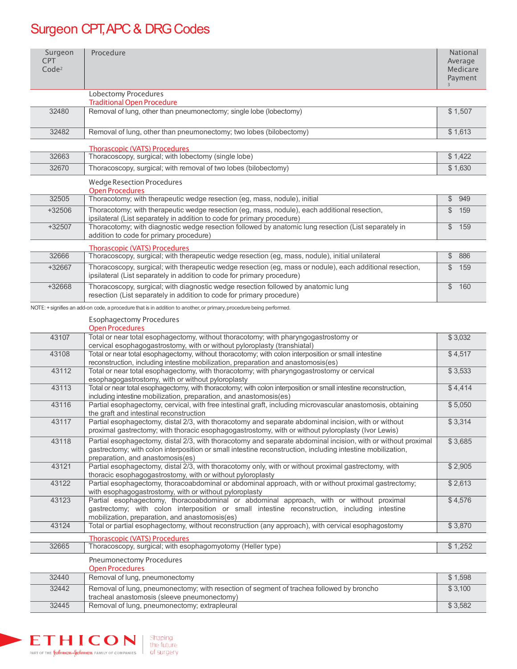# Surgeon CPT, APC & DRG Codes

| Surgeon<br>CPT<br>Code <sup>2</sup> | Procedure                                                                                                                                                                                                                                 | <b>National</b><br>Average<br>Medicare<br>Payment |
|-------------------------------------|-------------------------------------------------------------------------------------------------------------------------------------------------------------------------------------------------------------------------------------------|---------------------------------------------------|
|                                     | Lobectomy Procedures<br><b>Traditional Open Procedure</b>                                                                                                                                                                                 |                                                   |
| 32480                               | Removal of lung, other than pneumonectomy; single lobe (lobectomy)                                                                                                                                                                        | \$1,507                                           |
| 32482                               | Removal of lung, other than pneumonectomy; two lobes (bilobectomy)                                                                                                                                                                        | \$1,613                                           |
|                                     | <b>Thorascopic (VATS) Procedures</b>                                                                                                                                                                                                      |                                                   |
| 32663                               | Thoracoscopy, surgical; with lobectomy (single lobe)                                                                                                                                                                                      | \$1,422                                           |
| 32670                               | Thoracoscopy, surgical; with removal of two lobes (bilobectomy)                                                                                                                                                                           | \$1,630                                           |
|                                     | <b>Wedge Resection Procedures</b><br><b>Open Procedures</b>                                                                                                                                                                               |                                                   |
| 32505                               | Thoracotomy; with therapeutic wedge resection (eg, mass, nodule), initial                                                                                                                                                                 | $\$\$<br>949                                      |
| +32506                              | Thoracotomy; with therapeutic wedge resection (eg, mass, nodule), each additional resection,<br>ipsilateral (List separately in addition to code for primary procedure)                                                                   | $\$\$<br>159                                      |
| +32507                              | Thoracotomy; with diagnostic wedge resection followed by anatomic lung resection (List separately in<br>addition to code for primary procedure)                                                                                           | $\$\$<br>159                                      |
|                                     | <b>Thorascopic (VATS) Procedures</b>                                                                                                                                                                                                      |                                                   |
| 32666                               | Thoracoscopy, surgical; with therapeutic wedge resection (eg, mass, nodule), initial unilateral                                                                                                                                           | \$<br>886                                         |
| +32667                              | Thoracoscopy, surgical; with therapeutic wedge resection (eg, mass or nodule), each additional resection,<br>ipsilateral (List separately in addition to code for primary procedure)                                                      | \$<br>159                                         |
| +32668                              | Thoracoscopy, surgical; with diagnostic wedge resection followed by anatomic lung<br>resection (List separately in addition to code for primary procedure)                                                                                | $\mathfrak{S}$<br>160                             |
|                                     | NOTE: + signifies an add-on code, a procedure that is in addition to another, or primary, procedure being performed.                                                                                                                      |                                                   |
|                                     | <b>Esophagectomy Procedures</b><br><b>Open Procedures</b>                                                                                                                                                                                 |                                                   |
| 43107                               | Total or near total esophagectomy, without thoracotomy; with pharyngogastrostomy or<br>cervical esophagogastrostomy, with or without pyloroplasty (transhiatal)                                                                           | \$3,032                                           |
| 43108                               | Total or near total esophagectomy, without thoracotomy; with colon interposition or small intestine<br>reconstruction, including intestine mobilization, preparation and anastomosis(es)                                                  | \$4,517                                           |
| 43112                               | Total or near total esophagectomy, with thoracotomy; with pharyngogastrostomy or cervical<br>esophagogastrostomy, with or without pyloroplasty                                                                                            | \$3,533                                           |
| 43113                               | Total or near total esophagectomy, with thoracotomy; with colon interposition or small intestine reconstruction,<br>including intestine mobilization, preparation, and anastomosis(es)                                                    | \$4,414                                           |
| 43116                               | Partial esophagectomy, cervical, with free intestinal graft, including microvascular anastomosis, obtaining<br>the graft and intestinal reconstruction                                                                                    | \$5,050                                           |
| 43117                               | Partial esophagectomy, distal 2/3, with thoracotomy and separate abdominal incision, with or without                                                                                                                                      | \$3,314                                           |
|                                     | proximal gastrectomy; with thoracic esophagogastrostomy, with or without pyloroplasty (Ivor Lewis)<br>Partial esophagectomy, distal 2/3, with thoracotomy and separate abdominal incision, with or without proximal                       |                                                   |
| 43118                               | gastrectomy; with colon interposition or small intestine reconstruction, including intestine mobilization,<br>preparation, and anastomosis(es)                                                                                            | \$3,685                                           |
| 43121                               | Partial esophagectomy, distal 2/3, with thoracotomy only, with or without proximal gastrectomy, with<br>thoracic esophagogastrostomy, with or without pyloroplasty                                                                        | \$2,905                                           |
| 43122                               | Partial esophagectomy, thoracoabdominal or abdominal approach, with or without proximal gastrectomy;<br>with esophagogastrostomy, with or without pyloroplasty                                                                            | \$2,613                                           |
| 43123                               | Partial esophagectomy, thoracoabdominal or abdominal approach, with or without proximal<br>gastrectomy; with colon interposition or small intestine reconstruction, including intestine<br>mobilization, preparation, and anastomosis(es) | \$4,576                                           |
| 43124                               | Total or partial esophagectomy, without reconstruction (any approach), with cervical esophagostomy                                                                                                                                        | \$3,870                                           |
| 32665                               | <b>Thorascopic (VATS) Procedures</b><br>Thoracoscopy, surgical; with esophagomyotomy (Heller type)                                                                                                                                        | \$1,252                                           |
|                                     | <b>Pneumonectomy Procedures</b>                                                                                                                                                                                                           |                                                   |
|                                     | <b>Open Procedures</b>                                                                                                                                                                                                                    |                                                   |
| 32440                               | Removal of lung, pneumonectomy                                                                                                                                                                                                            | \$1,598                                           |
| 32442                               | Removal of lung, pneumonectomy; with resection of segment of trachea followed by broncho<br>tracheal anastomosis (sleeve pneumonectomy)                                                                                                   | \$3,100                                           |
| 32445                               | Removal of lung, pneumonectomy; extrapleural                                                                                                                                                                                              | \$3,582                                           |

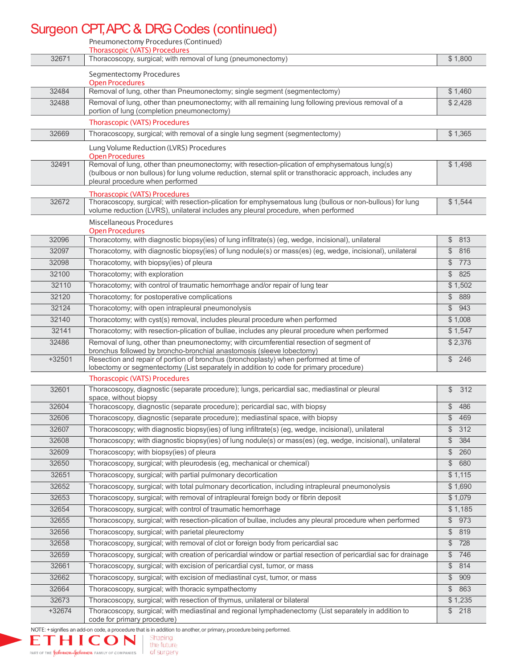# Surgeon CPT, APC & DRG Codes (continued)

|                   | Pneumonectomy Procedures (Continued)                                                                                                                                                                                                          |                                  |
|-------------------|-----------------------------------------------------------------------------------------------------------------------------------------------------------------------------------------------------------------------------------------------|----------------------------------|
|                   | <b>Thorascopic (VATS) Procedures</b>                                                                                                                                                                                                          |                                  |
| 32671             | Thoracoscopy, surgical; with removal of lung (pneumonectomy)                                                                                                                                                                                  | \$1,800                          |
|                   | Segmentectomy Procedures<br><b>Open Procedures</b>                                                                                                                                                                                            |                                  |
| 32484             | Removal of lung, other than Pneumonectomy; single segment (segmentectomy)                                                                                                                                                                     | \$1,460                          |
| 32488             | Removal of lung, other than pneumonectomy; with all remaining lung following previous removal of a                                                                                                                                            | \$2,428                          |
|                   | portion of lung (completion pneumonectomy)<br><b>Thorascopic (VATS) Procedures</b>                                                                                                                                                            |                                  |
| 32669             | Thoracoscopy, surgical; with removal of a single lung segment (segmentectomy)                                                                                                                                                                 | \$1,365                          |
|                   |                                                                                                                                                                                                                                               |                                  |
|                   | Lung Volume Reduction (LVRS) Procedures<br><b>Open Procedures</b>                                                                                                                                                                             |                                  |
| 32491             | Removal of lung, other than pneumonectomy; with resection-plication of emphysematous lung(s)<br>(bulbous or non bullous) for lung volume reduction, sternal split or transthoracic approach, includes any<br>pleural procedure when performed | \$1,498                          |
|                   | <b>Thorascopic (VATS) Procedures</b>                                                                                                                                                                                                          |                                  |
| 32672             | Thoracoscopy, surgical; with resection-plication for emphysematous lung (bullous or non-bullous) for lung<br>volume reduction (LVRS), unilateral includes any pleural procedure, when performed                                               | \$1,544                          |
|                   | Miscellaneous Procedures<br><b>Open Procedures</b>                                                                                                                                                                                            |                                  |
| 32096             | Thoracotomy, with diagnostic biopsy(ies) of lung infiltrate(s) (eg, wedge, incisional), unilateral                                                                                                                                            | $\mathcal{L}$<br>813             |
| 32097             | Thoracotomy, with diagnostic biopsy(ies) of lung nodule(s) or mass(es) (eg, wedge, incisional), unilateral                                                                                                                                    | $\$\$<br>816                     |
| 32098             | Thoracotomy, with biopsy(ies) of pleura                                                                                                                                                                                                       | $\mathcal{L}$<br>773             |
| 32100             | Thoracotomy; with exploration                                                                                                                                                                                                                 | $\mathcal{L}$<br>825             |
| 32110             | Thoracotomy; with control of traumatic hemorrhage and/or repair of lung tear                                                                                                                                                                  | \$1,502                          |
| 32120             | Thoracotomy; for postoperative complications                                                                                                                                                                                                  | \$889                            |
| 32124             | Thoracotomy; with open intrapleural pneumonolysis                                                                                                                                                                                             | $\frac{1}{2}$<br>943             |
| 32140             | Thoracotomy; with cyst(s) removal, includes pleural procedure when performed                                                                                                                                                                  | \$1,008                          |
| 32141             | Thoracotomy; with resection-plication of bullae, includes any pleural procedure when performed                                                                                                                                                | \$1,547                          |
| 32486             | Removal of lung, other than pneumonectomy; with circumferential resection of segment of<br>bronchus followed by broncho-bronchial anastomosis (sleeve lobectomy)                                                                              | \$2,376                          |
| $+32501$          | Resection and repair of portion of bronchus (bronchoplasty) when performed at time of<br>lobectomy or segmentectomy (List separately in addition to code for primary procedure)                                                               | \$246                            |
|                   | <b>Thorascopic (VATS) Procedures</b>                                                                                                                                                                                                          |                                  |
| 32601             | Thoracoscopy, diagnostic (separate procedure); lungs, pericardial sac, mediastinal or pleural<br>space, without biopsy                                                                                                                        | \$<br>312                        |
| 32604             | Thoracoscopy, diagnostic (separate procedure); pericardial sac, with biopsy                                                                                                                                                                   | $\frac{1}{2}$<br>486             |
| 32606             | Thoracoscopy, diagnostic (separate procedure); mediastinal space, with biopsy                                                                                                                                                                 | \$<br>469                        |
| 32607             | Thoracoscopy; with diagnostic biopsy(ies) of lung infiltrate(s) (eg, wedge, incisional), unilateral                                                                                                                                           | \$<br>312                        |
| 32608             | Thoracoscopy; with diagnostic biopsy(ies) of lung nodule(s) or mass(es) (eg, wedge, incisional), unilateral                                                                                                                                   | $\frac{1}{2}$<br>384             |
| 32609             | Thoracoscopy; with biopsy(ies) of pleura                                                                                                                                                                                                      | $\mathcal{L}$<br>260             |
| 32650             | Thoracoscopy, surgical; with pleurodesis (eg, mechanical or chemical)                                                                                                                                                                         | $\frac{1}{2}$<br>680             |
| 32651             | Thoracoscopy, surgical; with partial pulmonary decortication                                                                                                                                                                                  | \$1,115                          |
| 32652             | Thoracoscopy, surgical; with total pulmonary decortication, including intrapleural pneumonolysis                                                                                                                                              | \$1,690                          |
| 32653             | Thoracoscopy, surgical; with removal of intrapleural foreign body or fibrin deposit                                                                                                                                                           | \$1,079                          |
| 32654             | Thoracoscopy, surgical; with control of traumatic hemorrhage                                                                                                                                                                                  | \$1,185                          |
| 32655             | Thoracoscopy, surgical; with resection-plication of bullae, includes any pleural procedure when performed                                                                                                                                     | \$973                            |
| 32656             | Thoracoscopy, surgical; with parietal pleurectomy                                                                                                                                                                                             | \$<br>819                        |
| 32658             | Thoracoscopy, surgical; with removal of clot or foreign body from pericardial sac                                                                                                                                                             | \$<br>728                        |
| 32659             | Thoracoscopy, surgical; with creation of pericardial window or partial resection of pericardial sac for drainage                                                                                                                              | \$<br>746                        |
| 32661             | Thoracoscopy, surgical; with excision of pericardial cyst, tumor, or mass                                                                                                                                                                     | \$<br>814                        |
| 32662             | Thoracoscopy, surgical; with excision of mediastinal cyst, tumor, or mass                                                                                                                                                                     | $\frac{1}{2}$<br>909             |
| 32664             | Thoracoscopy, surgical; with thoracic sympathectomy                                                                                                                                                                                           | $\frac{1}{2}$<br>863             |
| 32673<br>$+32674$ | Thoracoscopy, surgical; with resection of thymus, unilateral or bilateral<br>Thoracoscopy, surgical; with mediastinal and regional lymphadenectomy (List separately in addition to                                                            | \$1,235<br>$$\mathbb{S}$$<br>218 |
|                   | code for primary procedure)                                                                                                                                                                                                                   |                                  |

NOTE: + signifies an add-on code, a procedure that is in addition to another, or primary, procedure being performed.<br>  $\begin{array}{|c|c|c|c|c|}\n\hline\n\textbf{}\n\end{array}$ the future